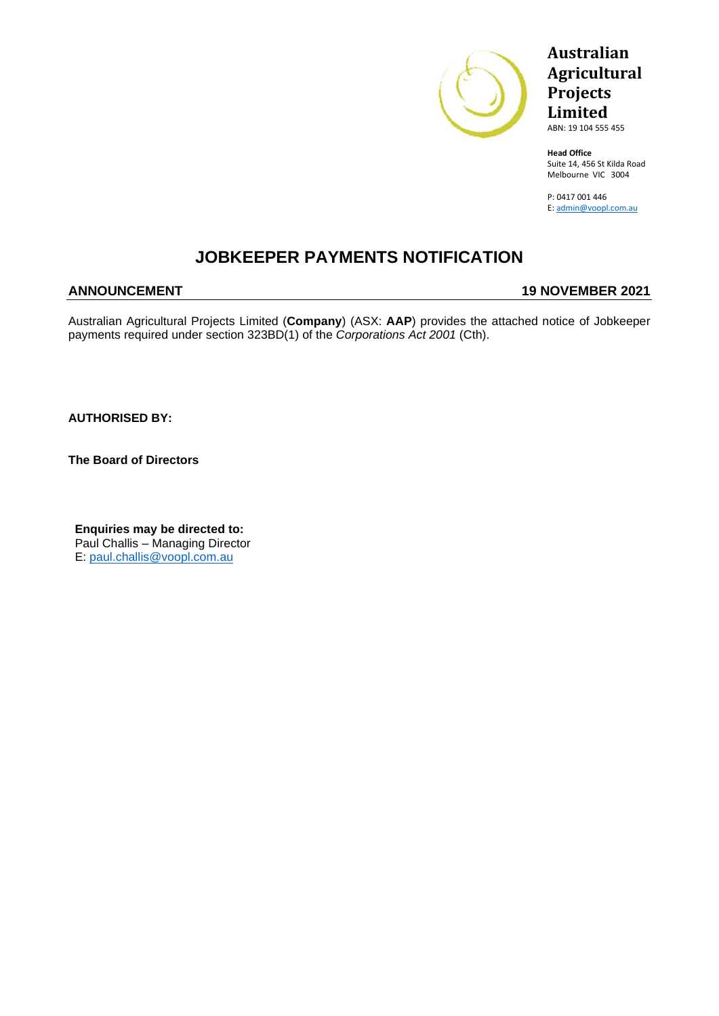

## **Australian Agricultural Projects Limited**

ABN: 19 104 555 455

**Head Office** Suite 14, 456 St Kilda Road Melbourne VIC 3004

P: 0417 001 446 E: [admin@voopl.com.au](mailto:admin@voopl.com.au)

## **JOBKEEPER PAYMENTS NOTIFICATION**

#### **ANNOUNCEMENT 19 NOVEMBER 2021**

Australian Agricultural Projects Limited (**Company**) (ASX: **AAP**) provides the attached notice of Jobkeeper payments required under section 323BD(1) of the *Corporations Act 2001* (Cth).

**AUTHORISED BY:**

**The Board of Directors** 

**Enquiries may be directed to:** Paul Challis – Managing Director E: [paul.challis@voopl.com.au](mailto:paul.challis@voopl.com.au)